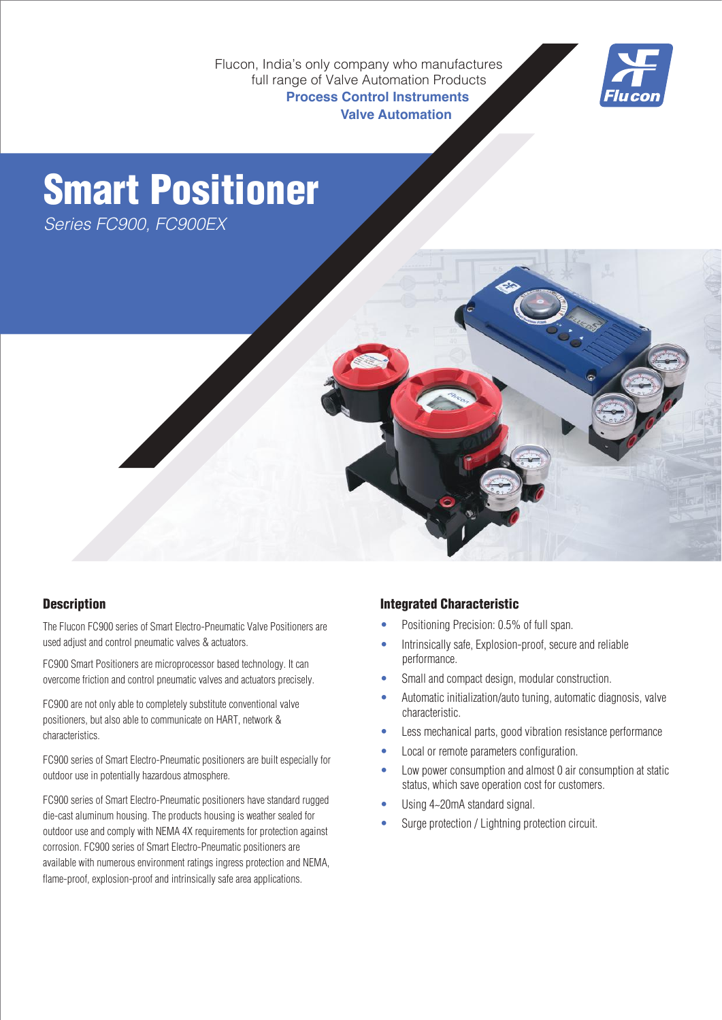Flucon, India's only company who manufactures full range of Valve Automation Products **Process Control Instruments Valve Automation**



# Smart Positioner

Series FC900, FC900EX



### **Description**

The Flucon FC900 series of Smart Electro-Pneumatic Valve Positioners are used adjust and control pneumatic valves & actuators.

FC900 Smart Positioners are microprocessor based technology. It can overcome friction and control pneumatic valves and actuators precisely.

FC900 are not only able to completely substitute conventional valve positioners, but also able to communicate on HART, network & characteristics.

FC900 series of Smart Electro-Pneumatic positioners are built especially for outdoor use in potentially hazardous atmosphere.

FC900 series of Smart Electro-Pneumatic positioners have standard rugged die-cast aluminum housing. The products housing is weather sealed for outdoor use and comply with NEMA 4X requirements for protection against corrosion. FC900 series of Smart Electro-Pneumatic positioners are available with numerous environment ratings ingress protection and NEMA, flame-proof, explosion-proof and intrinsically safe area applications.

#### Integrated Characteristic

- Positioning Precision: 0.5% of full span.
- Intrinsically safe, Explosion-proof, secure and reliable performance.
- Small and compact design, modular construction.
- Automatic initialization/auto tuning, automatic diagnosis, valve characteristic.
- Less mechanical parts, good vibration resistance performance
- Local or remote parameters configuration.
- Low power consumption and almost 0 air consumption at static status, which save operation cost for customers.
- Using 4~20mA standard signal.
- Surge protection / Lightning protection circuit.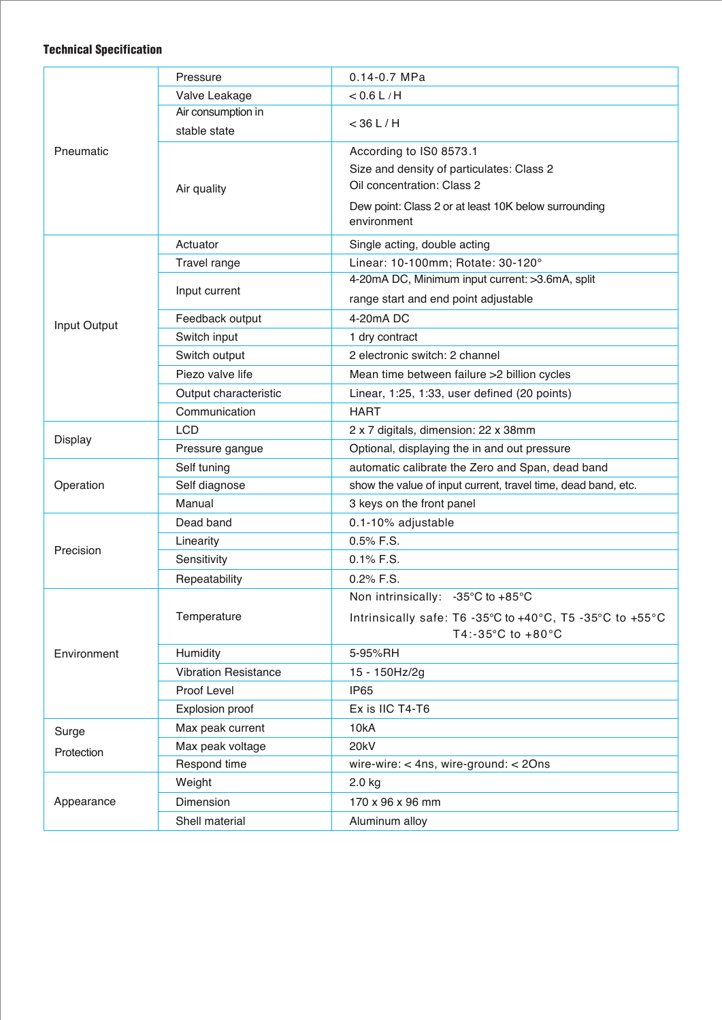#### Technical Specification

| Pneumatic           | Pressure                    | $0.14 - 0.7$ MPa                                              |  |  |  |  |  |  |  |  |
|---------------------|-----------------------------|---------------------------------------------------------------|--|--|--|--|--|--|--|--|
|                     | Valve Leakage               | $< 0.6$ L/H                                                   |  |  |  |  |  |  |  |  |
|                     | Air consumption in          |                                                               |  |  |  |  |  |  |  |  |
|                     | stable state                | $<$ 36 L / H                                                  |  |  |  |  |  |  |  |  |
|                     |                             | According to IS0 8573.1                                       |  |  |  |  |  |  |  |  |
|                     | Air quality                 | Size and density of particulates: Class 2                     |  |  |  |  |  |  |  |  |
|                     |                             | Oil concentration: Class 2                                    |  |  |  |  |  |  |  |  |
|                     |                             | Dew point: Class 2 or at least 10K below surrounding          |  |  |  |  |  |  |  |  |
|                     |                             | environment                                                   |  |  |  |  |  |  |  |  |
| Input Output        | Actuator                    | Single acting, double acting                                  |  |  |  |  |  |  |  |  |
|                     | Travel range                | Linear: 10-100mm; Rotate: 30-120°                             |  |  |  |  |  |  |  |  |
|                     | Input current               | 4-20mA DC, Minimum input current: >3.6mA, split               |  |  |  |  |  |  |  |  |
|                     |                             | range start and end point adjustable                          |  |  |  |  |  |  |  |  |
|                     | Feedback output             | 4-20mA DC                                                     |  |  |  |  |  |  |  |  |
|                     | Switch input                | 1 dry contract                                                |  |  |  |  |  |  |  |  |
|                     | Switch output               | 2 electronic switch: 2 channel                                |  |  |  |  |  |  |  |  |
|                     | Piezo valve life            | Mean time between failure > 2 billion cycles                  |  |  |  |  |  |  |  |  |
|                     | Output characteristic       | Linear, 1:25, 1:33, user defined (20 points)                  |  |  |  |  |  |  |  |  |
|                     | Communication               | <b>HART</b>                                                   |  |  |  |  |  |  |  |  |
| <b>Display</b>      | <b>LCD</b>                  | 2 x 7 digitals, dimension: 22 x 38mm                          |  |  |  |  |  |  |  |  |
|                     | Pressure gangue             | Optional, displaying the in and out pressure                  |  |  |  |  |  |  |  |  |
|                     | Self tuning                 | automatic calibrate the Zero and Span, dead band              |  |  |  |  |  |  |  |  |
| Operation           | Self diagnose               | show the value of input current, travel time, dead band, etc. |  |  |  |  |  |  |  |  |
|                     | Manual                      | 3 keys on the front panel                                     |  |  |  |  |  |  |  |  |
| Precision           | Dead band                   | 0.1-10% adjustable                                            |  |  |  |  |  |  |  |  |
|                     | Linearity                   | 0.5% F.S.                                                     |  |  |  |  |  |  |  |  |
|                     | Sensitivity                 | $0.1\%$ F.S.                                                  |  |  |  |  |  |  |  |  |
|                     | Repeatability               | 0.2% F.S.                                                     |  |  |  |  |  |  |  |  |
| Environment         |                             | Non intrinsically: -35 $\mathrm{°C}$ to +85 $\mathrm{°C}$     |  |  |  |  |  |  |  |  |
|                     | Temperature                 | Intrinsically safe: T6 -35°C to +40°C, T5 -35°C to +55°C      |  |  |  |  |  |  |  |  |
|                     |                             | T4:-35°C to +80°C                                             |  |  |  |  |  |  |  |  |
|                     | Humidity                    | 5-95%RH                                                       |  |  |  |  |  |  |  |  |
|                     | <b>Vibration Resistance</b> | 15 - 150Hz/2g                                                 |  |  |  |  |  |  |  |  |
|                     | Proof Level                 | <b>IP65</b>                                                   |  |  |  |  |  |  |  |  |
|                     | Explosion proof             | Ex is IIC T4-T6                                               |  |  |  |  |  |  |  |  |
| Surge<br>Protection | Max peak current            | 10kA                                                          |  |  |  |  |  |  |  |  |
|                     | Max peak voltage            | 20kV                                                          |  |  |  |  |  |  |  |  |
|                     | Respond time                | wire-wire: $<$ 4ns, wire-ground: $<$ 20ns                     |  |  |  |  |  |  |  |  |
| Appearance          | Weight                      | $2.0$ kg                                                      |  |  |  |  |  |  |  |  |
|                     | Dimension                   | 170 x 96 x 96 mm                                              |  |  |  |  |  |  |  |  |
|                     | Shell material              | Aluminum alloy                                                |  |  |  |  |  |  |  |  |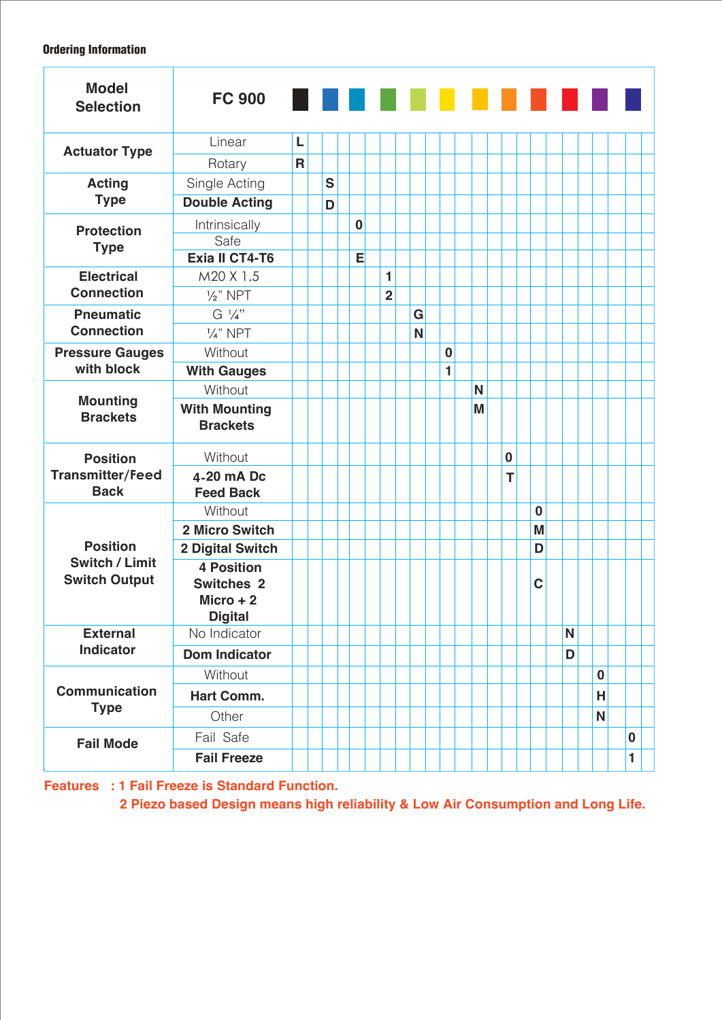#### Ordering Information

| <b>Model</b><br><b>Selection</b>                                 | <b>FC 900</b>                                                           |              |   |          |                |   |          | . |          |          |   |   |          |          |  |
|------------------------------------------------------------------|-------------------------------------------------------------------------|--------------|---|----------|----------------|---|----------|---|----------|----------|---|---|----------|----------|--|
| <b>Actuator Type</b>                                             | Linear                                                                  | L            |   |          |                |   |          |   |          |          |   |   |          |          |  |
|                                                                  | Rotary                                                                  | $\mathsf{R}$ |   |          |                |   |          |   |          |          |   |   |          |          |  |
| <b>Acting</b><br><b>Type</b>                                     | Single Acting                                                           |              | S |          |                |   |          |   |          |          |   |   |          |          |  |
|                                                                  | <b>Double Acting</b>                                                    |              | D |          |                |   |          |   |          |          |   |   |          |          |  |
| <b>Protection</b><br><b>Type</b>                                 | Intrinsically                                                           |              |   | $\bf{0}$ |                |   |          |   |          |          |   |   |          |          |  |
|                                                                  | Safe                                                                    |              |   |          |                |   |          |   |          |          |   |   |          |          |  |
|                                                                  | <b>Exia II CT4-T6</b>                                                   |              |   | Е        |                |   |          |   |          |          |   |   |          |          |  |
| <b>Electrical</b><br><b>Connection</b>                           | M20 X 1.5                                                               |              |   |          | 1              |   |          |   |          |          |   |   |          |          |  |
|                                                                  | $\frac{1}{2}$ " NPT                                                     |              |   |          | $\overline{2}$ |   |          |   |          |          |   |   |          |          |  |
| <b>Pneumatic</b><br><b>Connection</b>                            | $G \frac{1}{4}$ "                                                       |              |   |          |                | G |          |   |          |          |   |   |          |          |  |
|                                                                  | $\frac{1}{4}$ " NPT                                                     |              |   |          |                | N |          |   |          |          |   |   |          |          |  |
| <b>Pressure Gauges</b>                                           | Without                                                                 |              |   |          |                |   | $\bf{0}$ |   |          |          |   |   |          |          |  |
| with block                                                       | <b>With Gauges</b>                                                      |              |   |          |                |   | 1        |   |          |          |   |   |          |          |  |
| <b>Mounting</b><br><b>Brackets</b>                               | Without                                                                 |              |   |          |                |   |          | N |          |          |   |   |          |          |  |
|                                                                  | <b>With Mounting</b><br><b>Brackets</b>                                 |              |   |          |                |   |          | M |          |          |   |   |          |          |  |
| <b>Position</b><br><b>Transmitter/Feed</b><br><b>Back</b>        | Without                                                                 |              |   |          |                |   |          |   | $\bf{0}$ |          |   |   |          |          |  |
|                                                                  | 4-20 mA Dc<br><b>Feed Back</b>                                          |              |   |          |                |   |          |   | т        |          |   |   |          |          |  |
| <b>Position</b><br><b>Switch / Limit</b><br><b>Switch Output</b> | Without                                                                 |              |   |          |                |   |          |   |          | $\bf{0}$ |   |   |          |          |  |
|                                                                  | 2 Micro Switch                                                          |              |   |          |                |   |          |   |          | M        |   |   |          |          |  |
|                                                                  | 2 Digital Switch                                                        |              |   |          |                |   |          |   |          | D        |   |   |          |          |  |
|                                                                  | <b>4 Position</b><br><b>Switches 2</b><br>$Micro + 2$<br><b>Digital</b> |              |   |          |                |   |          |   |          | C        |   |   |          |          |  |
| <b>External</b><br><b>Indicator</b>                              | No Indicator                                                            |              |   |          |                |   |          |   |          |          |   | N |          |          |  |
|                                                                  | <b>Dom Indicator</b>                                                    |              |   |          |                |   |          |   |          |          | D |   |          |          |  |
| <b>Communication</b><br><b>Type</b>                              | Without                                                                 |              |   |          |                |   |          |   |          |          |   |   | $\bf{0}$ |          |  |
|                                                                  | Hart Comm.                                                              |              |   |          |                |   |          |   |          |          |   |   | Н        |          |  |
|                                                                  | Other                                                                   |              |   |          |                |   |          |   |          |          |   |   | N        |          |  |
| <b>Fail Mode</b>                                                 | Fail Safe                                                               |              |   |          |                |   |          |   |          |          |   |   |          | $\bf{0}$ |  |
|                                                                  | <b>Fail Freeze</b>                                                      |              |   |          |                |   |          |   |          |          |   |   |          | 1        |  |

**Features : 1 Fail Freeze is Standard Function.**

**2 Piezo based Design means high reliability & Low Air Consumption and Long Life.**